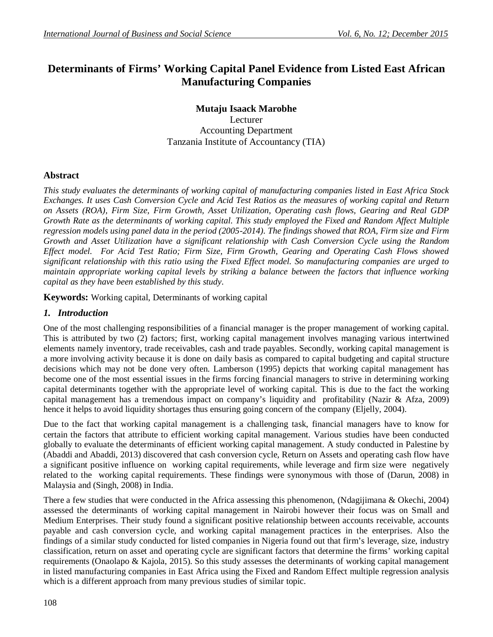# **Determinants of Firms' Working Capital Panel Evidence from Listed East African Manufacturing Companies**

**Mutaju Isaack Marobhe** Lecturer Accounting Department Tanzania Institute of Accountancy (TIA)

# **Abstract**

*This study evaluates the determinants of working capital of manufacturing companies listed in East Africa Stock Exchanges. It uses Cash Conversion Cycle and Acid Test Ratios as the measures of working capital and Return on Assets (ROA), Firm Size, Firm Growth, Asset Utilization, Operating cash flows, Gearing and Real GDP Growth Rate as the determinants of working capital. This study employed the Fixed and Random Affect Multiple regression models using panel data in the period (2005-2014). The findings showed that ROA, Firm size and Firm Growth and Asset Utilization have a significant relationship with Cash Conversion Cycle using the Random Effect model. For Acid Test Ratio; Firm Size, Firm Growth, Gearing and Operating Cash Flows showed significant relationship with this ratio using the Fixed Effect model. So manufacturing companies are urged to maintain appropriate working capital levels by striking a balance between the factors that influence working capital as they have been established by this study*.

**Keywords:** Working capital, Determinants of working capital

# *1. Introduction*

One of the most challenging responsibilities of a financial manager is the proper management of working capital. This is attributed by two (2) factors; first, working capital management involves managing various intertwined elements namely inventory, trade receivables, cash and trade payables. Secondly, working capital management is a more involving activity because it is done on daily basis as compared to capital budgeting and capital structure decisions which may not be done very often. Lamberson (1995) depicts that working capital management has become one of the most essential issues in the firms forcing financial managers to strive in determining working capital determinants together with the appropriate level of working capital. This is due to the fact the working capital management has a tremendous impact on company's liquidity and profitability (Nazir & Afza, 2009) hence it helps to avoid liquidity shortages thus ensuring going concern of the company (Eljelly, 2004).

Due to the fact that working capital management is a challenging task, financial managers have to know for certain the factors that attribute to efficient working capital management. Various studies have been conducted globally to evaluate the determinants of efficient working capital management. A study conducted in Palestine by (Abaddi and Abaddi, 2013) discovered that cash conversion cycle, Return on Assets and operating cash flow have a significant positive influence on working capital requirements, while leverage and firm size were negatively related to the working capital requirements. These findings were synonymous with those of (Darun, 2008) in Malaysia and (Singh, 2008) in India.

There a few studies that were conducted in the Africa assessing this phenomenon, (Ndagijimana & Okechi, 2004) assessed the determinants of working capital management in Nairobi however their focus was on Small and Medium Enterprises. Their study found a significant positive relationship between accounts receivable, accounts payable and cash conversion cycle, and working capital management practices in the enterprises. Also the findings of a similar study conducted for listed companies in Nigeria found out that firm's leverage, size, industry classification, return on asset and operating cycle are significant factors that determine the firms' working capital requirements (Onaolapo & Kajola, 2015). So this study assesses the determinants of working capital management in listed manufacturing companies in East Africa using the Fixed and Random Effect multiple regression analysis which is a different approach from many previous studies of similar topic.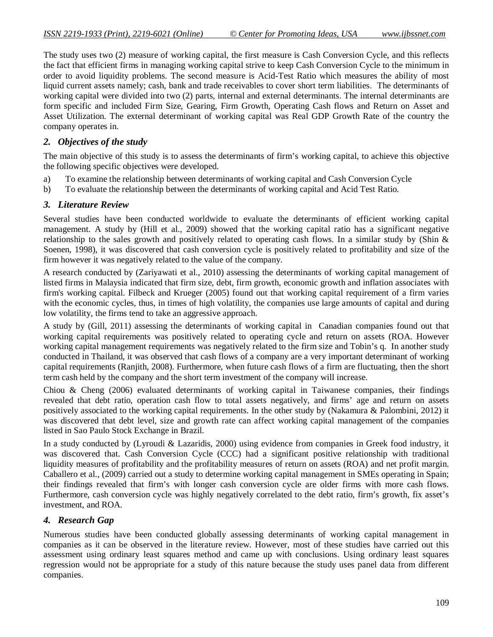The study uses two (2) measure of working capital, the first measure is Cash Conversion Cycle, and this reflects the fact that efficient firms in managing working capital strive to keep Cash Conversion Cycle to the minimum in order to avoid liquidity problems. The second measure is Acid-Test Ratio which measures the ability of most liquid current assets namely; cash, bank and trade receivables to cover short term liabilities. The determinants of working capital were divided into two (2) parts, internal and external determinants. The internal determinants are form specific and included Firm Size, Gearing, Firm Growth, Operating Cash flows and Return on Asset and Asset Utilization. The external determinant of working capital was Real GDP Growth Rate of the country the company operates in.

# *2. Objectives of the study*

The main objective of this study is to assess the determinants of firm's working capital, to achieve this objective the following specific objectives were developed.

- a) To examine the relationship between determinants of working capital and Cash Conversion Cycle
- b) To evaluate the relationship between the determinants of working capital and Acid Test Ratio.

# *3. Literature Review*

Several studies have been conducted worldwide to evaluate the determinants of efficient working capital management. A study by (Hill et al., 2009) showed that the working capital ratio has a significant negative relationship to the sales growth and positively related to operating cash flows. In a similar study by (Shin & Soenen, 1998), it was discovered that cash conversion cycle is positively related to profitability and size of the firm however it was negatively related to the value of the company.

A research conducted by (Zariyawati et al., 2010) assessing the determinants of working capital management of listed firms in Malaysia indicated that firm size, debt, firm growth, economic growth and inflation associates with firm's working capital. Filbeck and Krueger (2005) found out that working capital requirement of a firm varies with the economic cycles, thus, in times of high volatility, the companies use large amounts of capital and during low volatility, the firms tend to take an aggressive approach.

A study by (Gill, 2011) assessing the determinants of working capital in Canadian companies found out that working capital requirements was positively related to operating cycle and return on assets (ROA. However working capital management requirements was negatively related to the firm size and Tobin's q. In another study conducted in Thailand, it was observed that cash flows of a company are a very important determinant of working capital requirements (Ranjith, 2008). Furthermore, when future cash flows of a firm are fluctuating, then the short term cash held by the company and the short term investment of the company will increase.

Chiou & Cheng (2006) evaluated determinants of working capital in Taiwanese companies, their findings revealed that debt ratio, operation cash flow to total assets negatively, and firms' age and return on assets positively associated to the working capital requirements. In the other study by (Nakamura & Palombini, 2012) it was discovered that debt level, size and growth rate can affect working capital management of the companies listed in Sao Paulo Stock Exchange in Brazil.

In a study conducted by (Lyroudi & Lazaridis, 2000) using evidence from companies in Greek food industry, it was discovered that. Cash Conversion Cycle (CCC) had a significant positive relationship with traditional liquidity measures of profitability and the profitability measures of return on assets (ROA) and net profit margin. Caballero et al., (2009) carried out a study to determine working capital management in SMEs operating in Spain; their findings revealed that firm's with longer cash conversion cycle are older firms with more cash flows. Furthermore, cash conversion cycle was highly negatively correlated to the debt ratio, firm's growth, fix asset's investment, and ROA.

# *4. Research Gap*

Numerous studies have been conducted globally assessing determinants of working capital management in companies as it can be observed in the literature review. However, most of these studies have carried out this assessment using ordinary least squares method and came up with conclusions. Using ordinary least squares regression would not be appropriate for a study of this nature because the study uses panel data from different companies.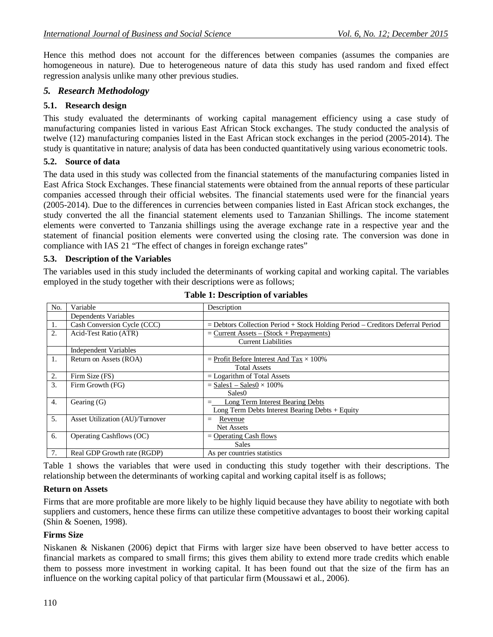Hence this method does not account for the differences between companies (assumes the companies are homogeneous in nature). Due to heterogeneous nature of data this study has used random and fixed effect regression analysis unlike many other previous studies.

# *5. Research Methodology*

### **5.1. Research design**

This study evaluated the determinants of working capital management efficiency using a case study of manufacturing companies listed in various East African Stock exchanges. The study conducted the analysis of twelve (12) manufacturing companies listed in the East African stock exchanges in the period (2005-2014). The study is quantitative in nature; analysis of data has been conducted quantitatively using various econometric tools.

#### **5.2. Source of data**

The data used in this study was collected from the financial statements of the manufacturing companies listed in East Africa Stock Exchanges. These financial statements were obtained from the annual reports of these particular companies accessed through their official websites. The financial statements used were for the financial years (2005-2014). Due to the differences in currencies between companies listed in East African stock exchanges, the study converted the all the financial statement elements used to Tanzanian Shillings. The income statement elements were converted to Tanzania shillings using the average exchange rate in a respective year and the statement of financial position elements were converted using the closing rate. The conversion was done in compliance with IAS 21 "The effect of changes in foreign exchange rates"

#### **5.3. Description of the Variables**

The variables used in this study included the determinants of working capital and working capital. The variables employed in the study together with their descriptions were as follows;

| No. | Variable                        | Description                                                                          |
|-----|---------------------------------|--------------------------------------------------------------------------------------|
|     | Dependents Variables            |                                                                                      |
| 1.  | Cash Conversion Cycle (CCC)     | $=$ Debtors Collection Period $+$ Stock Holding Period $-$ Creditors Deferral Period |
| 2.  | Acid-Test Ratio (ATR)           | $=$ Current Assets $-$ (Stock + Prepayments)                                         |
|     |                                 | <b>Current Liabilities</b>                                                           |
|     | <b>Independent Variables</b>    |                                                                                      |
| 1.  | Return on Assets (ROA)          | = Profit Before Interest And Tax $\times$ 100%                                       |
|     |                                 | <b>Total Assets</b>                                                                  |
| 2.  | Firm Size (FS)                  | $=$ Logarithm of Total Assets                                                        |
| 3.  | Firm Growth (FG)                | $=$ Sales1 $-$ Sales0 $\times$ 100%                                                  |
|     |                                 | Sales <sub>0</sub>                                                                   |
| 4.  | Gearing (G)                     | Long Term Interest Bearing Debts                                                     |
|     |                                 | Long Term Debts Interest Bearing Debts $+$ Equity                                    |
| 5.  | Asset Utilization (AU)/Turnover | Revenue<br>$=$                                                                       |
|     |                                 | <b>Net Assets</b>                                                                    |
| 6.  | Operating Cashflows (OC)        | $=$ Operating Cash flows                                                             |
|     |                                 | <b>Sales</b>                                                                         |
| 7.  | Real GDP Growth rate (RGDP)     | As per countries statistics                                                          |

| <b>Table 1: Description of variables</b> |  |
|------------------------------------------|--|
|------------------------------------------|--|

Table 1 shows the variables that were used in conducting this study together with their descriptions. The relationship between the determinants of working capital and working capital itself is as follows;

#### **Return on Assets**

Firms that are more profitable are more likely to be highly liquid because they have ability to negotiate with both suppliers and customers, hence these firms can utilize these competitive advantages to boost their working capital (Shin & Soenen, 1998).

#### **Firms Size**

Niskanen & Niskanen (2006) depict that Firms with larger size have been observed to have better access to financial markets as compared to small firms; this gives them ability to extend more trade credits which enable them to possess more investment in working capital. It has been found out that the size of the firm has an influence on the working capital policy of that particular firm (Moussawi et al., 2006).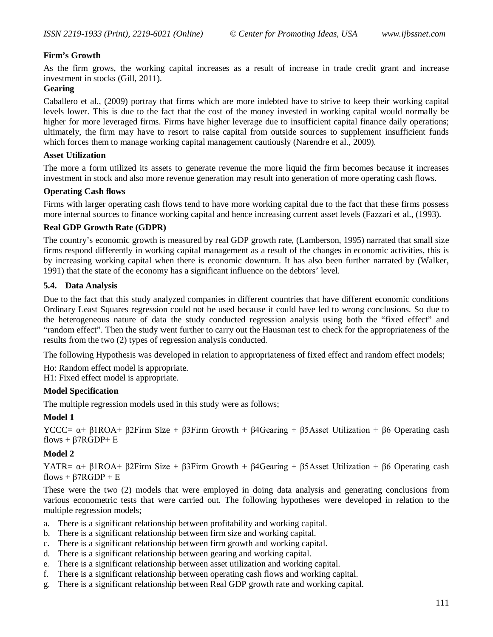# **Firm's Growth**

As the firm grows, the working capital increases as a result of increase in trade credit grant and increase investment in stocks (Gill, 2011).

### **Gearing**

Caballero et al., (2009) portray that firms which are more indebted have to strive to keep their working capital levels lower. This is due to the fact that the cost of the money invested in working capital would normally be higher for more leveraged firms. Firms have higher leverage due to insufficient capital finance daily operations; ultimately, the firm may have to resort to raise capital from outside sources to supplement insufficient funds which forces them to manage working capital management cautiously (Narendre et al., 2009).

#### **Asset Utilization**

The more a form utilized its assets to generate revenue the more liquid the firm becomes because it increases investment in stock and also more revenue generation may result into generation of more operating cash flows.

#### **Operating Cash flows**

Firms with larger operating cash flows tend to have more working capital due to the fact that these firms possess more internal sources to finance working capital and hence increasing current asset levels (Fazzari et al., (1993).

### **Real GDP Growth Rate (GDPR)**

The country's economic growth is measured by real GDP growth rate, (Lamberson, 1995) narrated that small size firms respond differently in working capital management as a result of the changes in economic activities, this is by increasing working capital when there is economic downturn. It has also been further narrated by (Walker, 1991) that the state of the economy has a significant influence on the debtors' level.

### **5.4. Data Analysis**

Due to the fact that this study analyzed companies in different countries that have different economic conditions Ordinary Least Squares regression could not be used because it could have led to wrong conclusions. So due to the heterogeneous nature of data the study conducted regression analysis using both the "fixed effect" and "random effect". Then the study went further to carry out the Hausman test to check for the appropriateness of the results from the two (2) types of regression analysis conducted.

The following Hypothesis was developed in relation to appropriateness of fixed effect and random effect models;

Ho: Random effect model is appropriate.

H1: Fixed effect model is appropriate.

#### **Model Specification**

The multiple regression models used in this study were as follows;

#### **Model 1**

YCCC=  $\alpha$ + β1ROA+ β2Firm Size + β3Firm Growth + β4Gearing + β5Asset Utilization + β6 Operating cash flows +  $\beta$ 7RGDP+ E

#### **Model 2**

YATR=  $\alpha$ + β1ROA+ β2Firm Size + β3Firm Growth + β4Gearing + β5Asset Utilization + β6 Operating cash flows +  $\beta$ 7RGDP + E

These were the two (2) models that were employed in doing data analysis and generating conclusions from various econometric tests that were carried out. The following hypotheses were developed in relation to the multiple regression models;

- a. There is a significant relationship between profitability and working capital.
- b. There is a significant relationship between firm size and working capital.
- c. There is a significant relationship between firm growth and working capital.
- d. There is a significant relationship between gearing and working capital.
- e. There is a significant relationship between asset utilization and working capital.
- f. There is a significant relationship between operating cash flows and working capital.
- g. There is a significant relationship between Real GDP growth rate and working capital.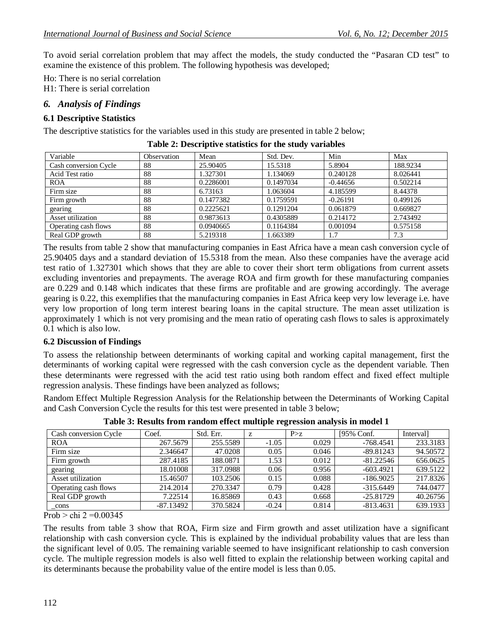To avoid serial correlation problem that may affect the models, the study conducted the "Pasaran CD test" to examine the existence of this problem. The following hypothesis was developed;

Ho: There is no serial correlation

H1: There is serial correlation

# *6. Analysis of Findings*

### **6.1 Descriptive Statistics**

The descriptive statistics for the variables used in this study are presented in table 2 below;

| Variable              | Observation | Mean      | Std. Dev. | Min        | Max      |
|-----------------------|-------------|-----------|-----------|------------|----------|
| Cash conversion Cycle | 88          | 25.90405  | 15.5318   | 5.8904     | 188.9234 |
| Acid Test ratio       | 88          | 1.327301  | 1.134069  | 0.240128   | 8.026441 |
| <b>ROA</b>            | 88          | 0.2286001 | 0.1497034 | $-0.44656$ | 0.502214 |
| Firm size             | 88          | 6.73163   | 1.063604  | 4.185599   | 8.44378  |
| Firm growth           | 88          | 0.1477382 | 0.1759591 | $-0.26191$ | 0.499126 |
| gearing               | 88          | 0.2225621 | 0.1291204 | 0.061879   | 0.669827 |
| Asset utilization     | 88          | 0.9873613 | 0.4305889 | 0.214172   | 2.743492 |
| Operating cash flows  | 88          | 0.0940665 | 0.1164384 | 0.001094   | 0.575158 |
| Real GDP growth       | 88          | 5.219318  | 1.663389  | 1.7        | 7.3      |

**Table 2: Descriptive statistics for the study variables**

The results from table 2 show that manufacturing companies in East Africa have a mean cash conversion cycle of 25.90405 days and a standard deviation of 15.5318 from the mean. Also these companies have the average acid test ratio of 1.327301 which shows that they are able to cover their short term obligations from current assets excluding inventories and prepayments. The average ROA and firm growth for these manufacturing companies are 0.229 and 0.148 which indicates that these firms are profitable and are growing accordingly. The average gearing is 0.22, this exemplifies that the manufacturing companies in East Africa keep very low leverage i.e. have very low proportion of long term interest bearing loans in the capital structure. The mean asset utilization is approximately 1 which is not very promising and the mean ratio of operating cash flows to sales is approximately 0.1 which is also low.

#### **6.2 Discussion of Findings**

To assess the relationship between determinants of working capital and working capital management, first the determinants of working capital were regressed with the cash conversion cycle as the dependent variable. Then these determinants were regressed with the acid test ratio using both random effect and fixed effect multiple regression analysis. These findings have been analyzed as follows;

Random Effect Multiple Regression Analysis for the Relationship between the Determinants of Working Capital and Cash Conversion Cycle the results for this test were presented in table 3 below;

| Cash conversion Cycle | Coef.       | Std. Err. | z       | P > z | [95% Conf.  | Interval] |
|-----------------------|-------------|-----------|---------|-------|-------------|-----------|
| <b>ROA</b>            | 267.5679    | 255.5589  | $-1.05$ | 0.029 | $-768.4541$ | 233.3183  |
| Firm size             | 2.346647    | 47.0208   | 0.05    | 0.046 | $-89.81243$ | 94.50572  |
| Firm growth           | 287.4185    | 188.0871  | 1.53    | 0.012 | $-81.22546$ | 656.0625  |
| gearing               | 18.01008    | 317.0988  | 0.06    | 0.956 | $-603.4921$ | 639.5122  |
| Asset utilization     | 15.46507    | 103.2506  | 0.15    | 0.088 | $-186.9025$ | 217.8326  |
| Operating cash flows  | 214.2014    | 270.3347  | 0.79    | 0.428 | $-315.6449$ | 744.0477  |
| Real GDP growth       | 7.22514     | 16.85869  | 0.43    | 0.668 | $-25.81729$ | 40.26756  |
| _cons                 | $-87.13492$ | 370.5824  | $-0.24$ | 0.814 | $-813.4631$ | 639.1933  |

**Table 3: Results from random effect multiple regression analysis in model 1**

Prob  $>$  chi 2 = 0.00345

The results from table 3 show that ROA, Firm size and Firm growth and asset utilization have a significant relationship with cash conversion cycle. This is explained by the individual probability values that are less than the significant level of 0.05. The remaining variable seemed to have insignificant relationship to cash conversion cycle. The multiple regression models is also well fitted to explain the relationship between working capital and its determinants because the probability value of the entire model is less than 0.05.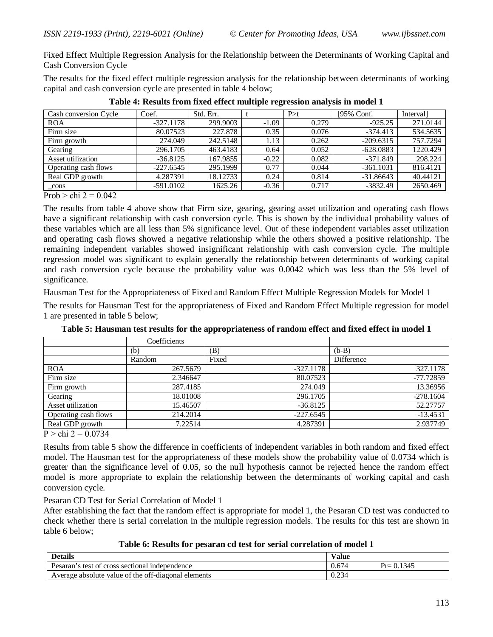Fixed Effect Multiple Regression Analysis for the Relationship between the Determinants of Working Capital and Cash Conversion Cycle

The results for the fixed effect multiple regression analysis for the relationship between determinants of working capital and cash conversion cycle are presented in table 4 below;

| Cash conversion Cycle | Coef.       | Std. Err. |         | P > t | [95% Conf.  | Interval] |
|-----------------------|-------------|-----------|---------|-------|-------------|-----------|
| <b>ROA</b>            | $-327.1178$ | 299.9003  | $-1.09$ | 0.279 | $-925.25$   | 271.0144  |
| Firm size             | 80.07523    | 227.878   | 0.35    | 0.076 | $-374.413$  | 534.5635  |
| Firm growth           | 274.049     | 242.5148  | 1.13    | 0.262 | $-209.6315$ | 757.7294  |
| Gearing               | 296.1705    | 463.4183  | 0.64    | 0.052 | $-628.0883$ | 1220.429  |
| Asset utilization     | $-36.8125$  | 167.9855  | $-0.22$ | 0.082 | -371.849    | 298.224   |
| Operating cash flows  | $-227.6545$ | 295.1999  | 0.77    | 0.044 | $-361.1031$ | 816.4121  |
| Real GDP growth       | 4.287391    | 18.12733  | 0.24    | 0.814 | $-31.86643$ | 40.44121  |
| _cons                 | $-591.0102$ | 1625.26   | $-0.36$ | 0.717 | $-3832.49$  | 2650.469  |

**Table 4: Results from fixed effect multiple regression analysis in model 1**

Prob  $>$  chi 2 = 0.042

The results from table 4 above show that Firm size, gearing, gearing asset utilization and operating cash flows have a significant relationship with cash conversion cycle. This is shown by the individual probability values of these variables which are all less than 5% significance level. Out of these independent variables asset utilization and operating cash flows showed a negative relationship while the others showed a positive relationship. The remaining independent variables showed insignificant relationship with cash conversion cycle. The multiple regression model was significant to explain generally the relationship between determinants of working capital and cash conversion cycle because the probability value was 0.0042 which was less than the 5% level of significance.

Hausman Test for the Appropriateness of Fixed and Random Effect Multiple Regression Models for Model 1

The results for Hausman Test for the appropriateness of Fixed and Random Effect Multiple regression for model 1 are presented in table 5 below;

|                      | Coefficients |             |             |
|----------------------|--------------|-------------|-------------|
|                      | (b)          | (B)         | $(b-B)$     |
|                      | Random       | Fixed       | Difference  |
| <b>ROA</b>           | 267.5679     | $-327.1178$ | 327.1178    |
| Firm size            | 2.346647     | 80.07523    | $-77.72859$ |
| Firm growth          | 287.4185     | 274.049     | 13.36956    |
| Gearing              | 18.01008     | 296.1705    | $-278.1604$ |
| Asset utilization    | 15.46507     | $-36.8125$  | 52.27757    |
| Operating cash flows | 214.2014     | $-227.6545$ | $-13.4531$  |
| Real GDP growth      | 7.22514      | 4.287391    | 2.937749    |

**Table 5: Hausman test results for the appropriateness of random effect and fixed effect in model 1**

 $P >$ chi 2 = 0.0734

Results from table 5 show the difference in coefficients of independent variables in both random and fixed effect model. The Hausman test for the appropriateness of these models show the probability value of 0.0734 which is greater than the significance level of 0.05, so the null hypothesis cannot be rejected hence the random effect model is more appropriate to explain the relationship between the determinants of working capital and cash conversion cycle.

#### Pesaran CD Test for Serial Correlation of Model 1

After establishing the fact that the random effect is appropriate for model 1, the Pesaran CD test was conducted to check whether there is serial correlation in the multiple regression models. The results for this test are shown in table 6 below;

**Table 6: Results for pesaran cd test for serial correlation of model 1**

| <b>Details</b>                                      | Value |                     |
|-----------------------------------------------------|-------|---------------------|
| Pesaran's<br>s test of cross sectional independence | 0.674 | .1345<br>$Pr = 0.1$ |
| Average absolute value of the off-diagonal elements | 0.234 |                     |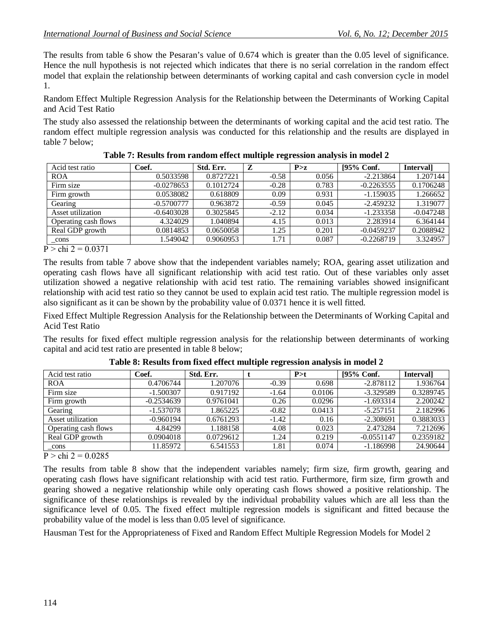The results from table 6 show the Pesaran's value of 0.674 which is greater than the 0.05 level of significance. Hence the null hypothesis is not rejected which indicates that there is no serial correlation in the random effect model that explain the relationship between determinants of working capital and cash conversion cycle in model 1.

Random Effect Multiple Regression Analysis for the Relationship between the Determinants of Working Capital and Acid Test Ratio

The study also assessed the relationship between the determinants of working capital and the acid test ratio. The random effect multiple regression analysis was conducted for this relationship and the results are displayed in table 7 below;

| Coef.        | Std. Err. | Z       | P > z | [95% Conf.   | <b>Intervall</b> |
|--------------|-----------|---------|-------|--------------|------------------|
| 0.5033598    | 0.8727221 | $-0.58$ | 0.056 | $-2.213864$  | 1.207144         |
| $-0.0278653$ | 0.1012724 | $-0.28$ | 0.783 | $-0.2263555$ | 0.1706248        |
| 0.0538082    | 0.618809  | 0.09    | 0.931 | $-1.159035$  | 1.266652         |
| $-0.5700777$ | 0.963872  | $-0.59$ | 0.045 | $-2.459232$  | 1.319077         |
| $-0.6403028$ | 0.3025845 | $-2.12$ | 0.034 | $-1.233358$  | $-0.047248$      |
| 4.324029     | 1.040894  | 4.15    | 0.013 | 2.283914     | 6.364144         |
| 0.0814853    | 0.0650058 | 1.25    | 0.201 | $-0.0459237$ | 0.2088942        |
| 1.549042     | 0.9060953 | 1.71    | 0.087 | $-0.2268719$ | 3.324957         |
|              |           |         |       |              |                  |

| Table 7: Results from random effect multiple regression analysis in model 2 |  |  |  |  |  |  |  |  |  |  |
|-----------------------------------------------------------------------------|--|--|--|--|--|--|--|--|--|--|
|-----------------------------------------------------------------------------|--|--|--|--|--|--|--|--|--|--|

 $P >$ chi 2 = 0.0371

The results from table 7 above show that the independent variables namely; ROA, gearing asset utilization and operating cash flows have all significant relationship with acid test ratio. Out of these variables only asset utilization showed a negative relationship with acid test ratio. The remaining variables showed insignificant relationship with acid test ratio so they cannot be used to explain acid test ratio. The multiple regression model is also significant as it can be shown by the probability value of 0.0371 hence it is well fitted.

Fixed Effect Multiple Regression Analysis for the Relationship between the Determinants of Working Capital and Acid Test Ratio

The results for fixed effect multiple regression analysis for the relationship between determinants of working capital and acid test ratio are presented in table 8 below;

| Acid test ratio      | Coef.        | Std. Err. |         | P > t  | [95% Conf.   | <b>Intervall</b> |
|----------------------|--------------|-----------|---------|--------|--------------|------------------|
| <b>ROA</b>           | 0.4706744    | 1.207076  | $-0.39$ | 0.698  | $-2.878112$  | 1.936764         |
| Firm size            | $-1.500307$  | 0.917192  | $-1.64$ | 0.0106 | $-3.329589$  | 0.3289745        |
| Firm growth          | $-0.2534639$ | 0.9761041 | 0.26    | 0.0296 | $-1.693314$  | 2.200242         |
| Gearing              | $-1.537078$  | 1.865225  | $-0.82$ | 0.0413 | $-5.257151$  | 2.182996         |
| Asset utilization    | $-0.960194$  | 0.6761293 | $-1.42$ | 0.16   | $-2.308691$  | 0.3883033        |
| Operating cash flows | 4.84299      | 1.188158  | 4.08    | 0.023  | 2.473284     | 7.212696         |
| Real GDP growth      | 0.0904018    | 0.0729612 | .24     | 0.219  | $-0.0551147$ | 0.2359182        |
| cons                 | 11.85972     | 6.541553  | 1.81    | 0.074  | $-1.186998$  | 24.90644         |

**Table 8: Results from fixed effect multiple regression analysis in model 2**

 $P >$ chi 2 = 0.0285

The results from table 8 show that the independent variables namely; firm size, firm growth, gearing and operating cash flows have significant relationship with acid test ratio. Furthermore, firm size, firm growth and gearing showed a negative relationship while only operating cash flows showed a positive relationship. The significance of these relationships is revealed by the individual probability values which are all less than the significance level of 0.05. The fixed effect multiple regression models is significant and fitted because the probability value of the model is less than 0.05 level of significance.

Hausman Test for the Appropriateness of Fixed and Random Effect Multiple Regression Models for Model 2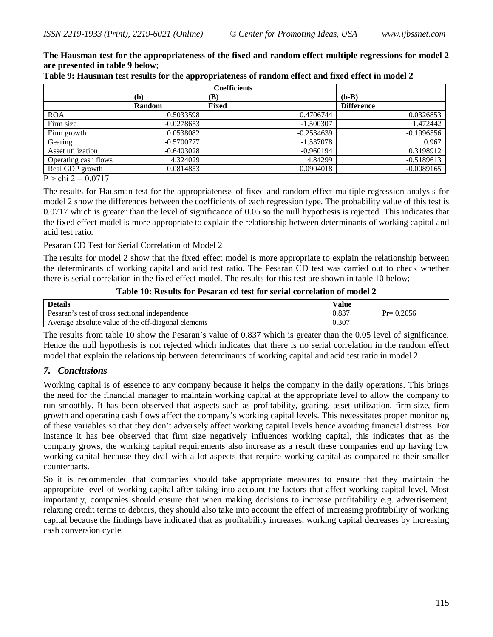**The Hausman test for the appropriateness of the fixed and random effect multiple regressions for model 2 are presented in table 9 below**;

|                      |               | <b>Coefficients</b> |                   |
|----------------------|---------------|---------------------|-------------------|
|                      | (b)           | (B)                 | $(b-B)$           |
|                      | <b>Random</b> | <b>Fixed</b>        | <b>Difference</b> |
| <b>ROA</b>           | 0.5033598     | 0.4706744           | 0.0326853         |
| Firm size            | $-0.0278653$  | $-1.500307$         | 1.472442          |
| Firm growth          | 0.0538082     | $-0.2534639$        | $-0.1996556$      |
| Gearing              | $-0.5700777$  | $-1.537078$         | 0.967             |
| Asset utilization    | $-0.6403028$  | $-0.960194$         | 0.3198912         |
| Operating cash flows | 4.324029      | 4.84299             | $-0.5189613$      |
| Real GDP growth      | 0.0814853     | 0.0904018           | $-0.0089165$      |

**Table 9: Hausman test results for the appropriateness of random effect and fixed effect in model 2**

 $P >$ chi 2 = 0.0717

The results for Hausman test for the appropriateness of fixed and random effect multiple regression analysis for model 2 show the differences between the coefficients of each regression type. The probability value of this test is 0.0717 which is greater than the level of significance of 0.05 so the null hypothesis is rejected. This indicates that the fixed effect model is more appropriate to explain the relationship between determinants of working capital and acid test ratio.

Pesaran CD Test for Serial Correlation of Model 2

The results for model 2 show that the fixed effect model is more appropriate to explain the relationship between the determinants of working capital and acid test ratio. The Pesaran CD test was carried out to check whether there is serial correlation in the fixed effect model. The results for this test are shown in table 10 below;

**Table 10: Results for Pesaran cd test for serial correlation of model 2**

| <b>Details</b>                                      | <b>Value</b> |               |
|-----------------------------------------------------|--------------|---------------|
| Pesaran's test of cross sectional independence      | ነ 027        | $Pr = 0.2056$ |
| Average absolute value of the off-diagonal elements | 0.307        |               |

The results from table 10 show the Pesaran's value of 0.837 which is greater than the 0.05 level of significance. Hence the null hypothesis is not rejected which indicates that there is no serial correlation in the random effect model that explain the relationship between determinants of working capital and acid test ratio in model 2.

# *7. Conclusions*

Working capital is of essence to any company because it helps the company in the daily operations. This brings the need for the financial manager to maintain working capital at the appropriate level to allow the company to run smoothly. It has been observed that aspects such as profitability, gearing, asset utilization, firm size, firm growth and operating cash flows affect the company's working capital levels. This necessitates proper monitoring of these variables so that they don't adversely affect working capital levels hence avoiding financial distress. For instance it has bee observed that firm size negatively influences working capital, this indicates that as the company grows, the working capital requirements also increase as a result these companies end up having low working capital because they deal with a lot aspects that require working capital as compared to their smaller counterparts.

So it is recommended that companies should take appropriate measures to ensure that they maintain the appropriate level of working capital after taking into account the factors that affect working capital level. Most importantly, companies should ensure that when making decisions to increase profitability e.g. advertisement, relaxing credit terms to debtors, they should also take into account the effect of increasing profitability of working capital because the findings have indicated that as profitability increases, working capital decreases by increasing cash conversion cycle.